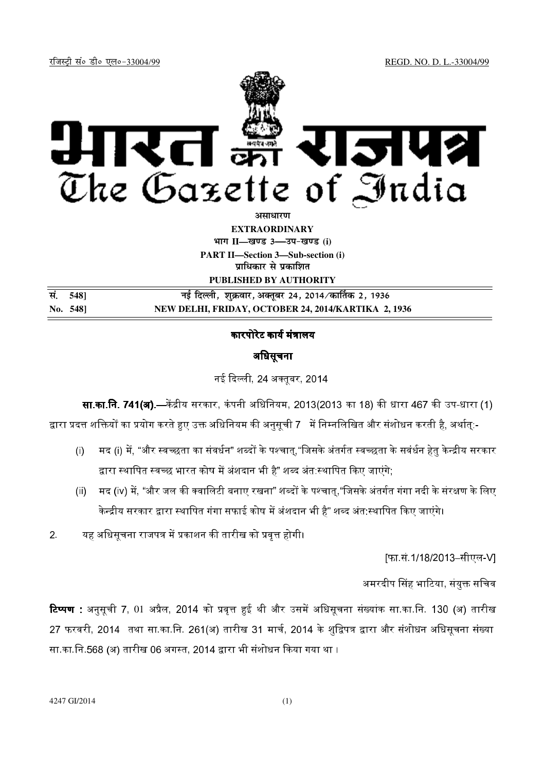jftLVªh laö Mhö ,yö&33004@99 REGD. NO. D. L.-33004/99



असाधा**र**ण **EXTRAORDINARY Hkkx II—[k.M 3—mi&[k.M (i) PART II—Section 3—Sub-section (i) प्राधिकार से प्रकाशित PUBLISHED BY AUTHORITY**

**la- 548] ubZ fnYyh] 'kqØokj] vDrwcj 24] 2014@dk£rd 2] 1936 No. 548] NEW DELHI, FRIDAY, OCTOBER 24, 2014/KARTIKA 2, 1936**

# कारपोरेट कार्य मंत्रालय

# अधिसूचना

नई दिल्ली. 24 अक्तबर. 2014

**सा.का.नि. 741(अ).—**केंद्रीय सरकार, कंपनी अधिनियम, 2013(2013 का 18) की धारा 467 की उप-धारा (1) द्वारा प्रदत्त शक्तियों का प्रयोग करते हुए उक्त अधिनियम की अनसची 7 \_में निम्नलिखित और संशोधन करती है. अर्थात:-

- (i) मद (i) में, "और स्वच्छता का संवर्धन" शब्दों के पश्चात "जिसके अंतर्गत स्वच्छता के सवंर्धन हेत केन्द्रीय सरकार द्वारा स्थापित स्वच्छ भारत कोष में अंशदान भी है" शब्द अंत:स्थापित किए जाएंगे:
- (ii) मद (iv) में, "और जल की क्वालिटी बनाए रखना" शब्दों के पश्चात."जिसके अंतर्गत गंगा नदी के संरक्षण के लिए केन्द्रीय सरकार द्वारा स्थापित गंगा सफाई कोष में अंशदान भी है" शब्द अंत:स्थापित किए जाएंगे।

2. यह अधिसूचना राजपत्र में प्रकाशन की तारीख को प्रवृत्त होगी।

[फा.सं.1/18/2013–सीएल-V]

अमरदीप सिंह भाटिया. संयक्त सचिव

<mark>टिप्पण</mark> : अनुसूची 7, 01 अप्रैल, 2014 को प्रवृत्त हुई थी और उसमें अधिसूचना संख्यांक सा.का.नि. 130 (अ) तारीख 27 फरवरी, 2014 तथा सा.का.नि. 261(अ) तारीख 31 मार्च. 2014 के शद्विपत्र द्वारा और संशोधन अधिसचना संख्या सा.का.नि.568 (अ) तारीख 06 अगस्त, 2014 द्वारा भी संशोधन किया गया था ।